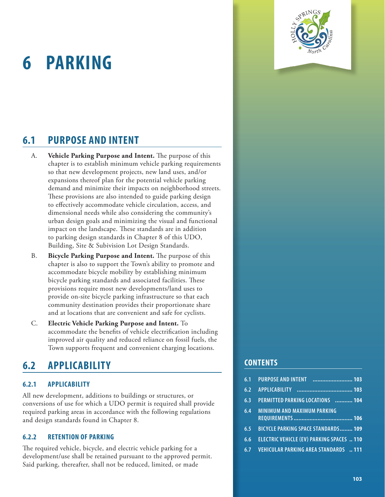# <span id="page-0-0"></span>**ORDINANCE | HOLLY SPRINGS, [N](#page-0-0)C <sup>6</sup> PARKING**

<span id="page-0-1"></span>

- A. **Vehicle Parking Purpose and Intent.** The purpose of this chapter is to establish minimum vehicle parking requirements so that new development projects, new land uses, and/or expansions thereof plan for the potential vehicle parking demand and minimize their impacts on neighborhood streets. These provisions are also intended to guide parking design to effectively accommodate vehicle circulation, access, and dimensional needs while also considering the community's urban design goals and minimizing the visual and functional impact on the landscape. These standards are in addition to parking design standards in Chapter 8 of this UDO, Building, Site & Subivision Lot Design Standards.
- B. **Bicycle Parking Purpose and Intent.** The purpose of this chapter is also to support the Town's ability to promote and accommodate bicycle mobility by establishing minimum bicycle parking standards and associated facilities. These provisions require most new developments/land uses to provide on-site bicycle parking infrastructure so that each community destination provides their proportionate share and at locations that are convenient and safe for cyclists.
- C. **Electric Vehicle Parking Purpose and Intent.** To accommodate the benefits of vehicle electrification including improved air quality and reduced reliance on fossil fuels, the Town supports frequent and convenient charging locations.

# **6.2 APPLICABILITY**

## **6.2.1 APPLICABILITY**

All new development, additions to buildings or structures, or conversions of use for which a UDO permit is required shall provide required parking areas in accordance with the following regulations and design standards found in Chapter 8.

#### **6.2.2 RETENTION OF PARKING**

The required vehicle, bicycle, and electric vehicle parking for a development/use shall be retained pursuant to the approved permit. Said parking, thereafter, shall not be reduced, limited, or made

## **CONTENTS**

| 6.1 | <b>PURPOSE AND INTENT</b>                        |
|-----|--------------------------------------------------|
| 6.2 | <b>APPLICABILITY</b>                             |
| 6.3 | PERMITTED PARKING LOCATIONS  104                 |
| 6.4 | <b>MINIMUM AND MAXIMUM PARKING</b>               |
| 6.5 | <b>BICYCLE PARKING SPACE STANDARDS 109</b>       |
| 6.6 | <b>ELECTRIC VEHICLE (EV) PARKING SPACES  110</b> |
| 6.7 | <b>VEHICULAR PARKING AREA STANDARDS  111</b>     |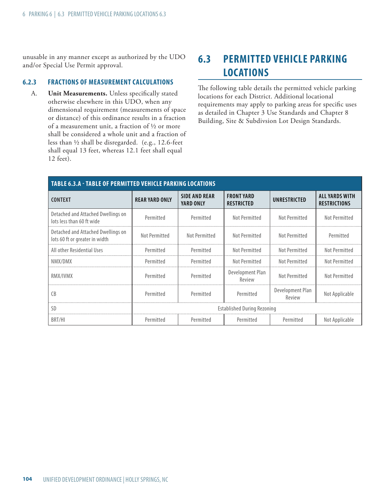<span id="page-1-0"></span>unusable in any manner except as authorized by the UDO and/or Special Use Permit approval.

#### **6.2.3 FRACTIONS OF MEASUREMENT CALCULATIONS**

A. **Unit Measurements.** Unless specifically stated otherwise elsewhere in this UDO, when any dimensional requirement (measurements of space or distance) of this ordinance results in a fraction of a measurement unit, a fraction of ½ or more shall be considered a whole unit and a fraction of less than ½ shall be disregarded. (e.g., 12.6-feet shall equal 13 feet, whereas 12.1 feet shall equal 12 feet).

# **6.3 PERMITTED VEHICLE PARKING LOCATIONS**

The following table details the permitted vehicle parking locations for each District. Additional locational requirements may apply to parking areas for specific uses as detailed in [Chapter 3](#page-0-1) Use Standards and Chapter 8 Building, Site & Subdivsion Lot Design Standards.

| <b>TABLE 6.3.A - TABLE OF PERMITTED VEHICLE PARKING LOCATIONS</b>    |                                    |                                   |                                        |                            |                                              |
|----------------------------------------------------------------------|------------------------------------|-----------------------------------|----------------------------------------|----------------------------|----------------------------------------------|
| <b>CONTEXT</b>                                                       | <b>REAR YARD ONLY</b>              | <b>SIDE AND REAR</b><br>YARD ONLY | <b>FRONT YARD</b><br><b>RESTRICTED</b> | UNRESTRICTED               | <b>ALL YARDS WITH</b><br><b>RESTRICTIONS</b> |
| Detached and Attached Dwellings on<br>lots less than 60 ft wide      | Permitted                          | Permitted                         | Not Permitted                          | Not Permitted              | Not Permitted                                |
| Detached and Attached Dwellings on<br>lots 60 ft or greater in width | Not Permitted                      | Not Permitted                     | Not Permitted                          | Not Permitted              | Permitted                                    |
| All other Residential Uses                                           | Permitted                          | Permitted                         | Not Permitted                          | Not Permitted              | Not Permitted                                |
| NMX/DMX                                                              | Permitted                          | Permitted                         | Not Permitted                          | Not Permitted              | Not Permitted                                |
| RMX/IVMX                                                             | Permitted                          | Permitted                         | Development Plan<br>Review             | Not Permitted              | Not Permitted                                |
| C <sub>B</sub>                                                       | Permitted                          | Permitted                         | Permitted                              | Development Plan<br>Review | Not Applicable                               |
| <b>SD</b>                                                            | <b>Established During Rezoning</b> |                                   |                                        |                            |                                              |
| BRT/HI                                                               | Permitted                          | Permitted                         | Permitted                              | Permitted                  | Not Applicable                               |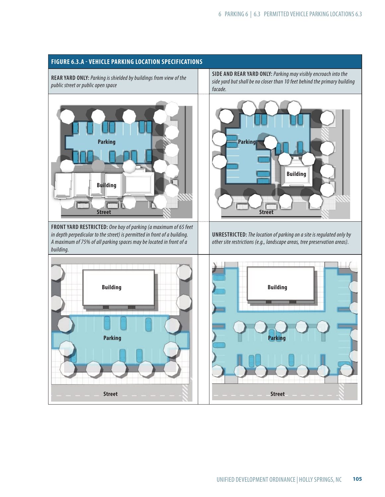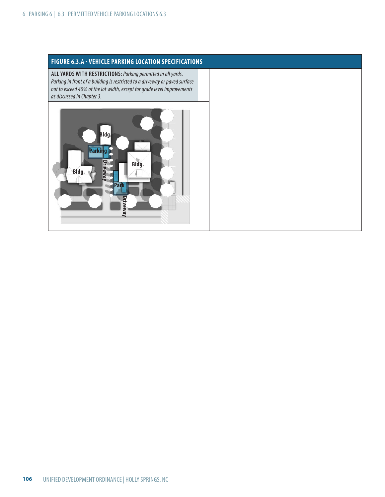<span id="page-3-0"></span>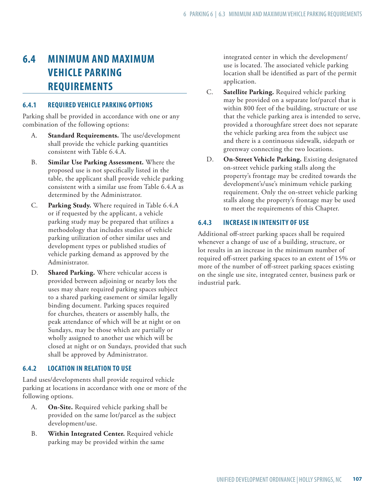# **6.4 MINIMUM AND MAXIMUM VEHICLE PARKING REQUIREMENTS**

#### **6.4.1 REQUIRED VEHICLE PARKING OPTIONS**

Parking shall be provided in accordance with one or any combination of the following options:

- A. **Standard Requirements.** The use/development shall provide the vehicle parking quantities consistent with Table 6.4.A.
- B. **Similar Use Parking Assessment.** Where the proposed use is not specifically listed in the table, the applicant shall provide vehicle parking consistent with a similar use from Table 6.4.A as determined by the Administrator.
- C. **Parking Study.** Where required in Table 6.4.A or if requested by the applicant, a vehicle parking study may be prepared that utilizes a methodology that includes studies of vehicle parking utilization of other similar uses and development types or published studies of vehicle parking demand as approved by the Administrator.
- D. **Shared Parking.** Where vehicular access is provided between adjoining or nearby lots the uses may share required parking spaces subject to a shared parking easement or similar legally binding document. Parking spaces required for churches, theaters or assembly halls, the peak attendance of which will be at night or on Sundays, may be those which are partially or wholly assigned to another use which will be closed at night or on Sundays, provided that such shall be approved by Administrator.

#### **6.4.2 LOCATION IN RELATION TO USE**

Land uses/developments shall provide required vehicle parking at locations in accordance with one or more of the following options.

- A. **On-Site.** Required vehicle parking shall be provided on the same lot/parcel as the subject development/use.
- B. **Within Integrated Center.** Required vehicle parking may be provided within the same

integrated center in which the development/ use is located. The associated vehicle parking location shall be identified as part of the permit application.

- C. **Satellite Parking.** Required vehicle parking may be provided on a separate lot/parcel that is within 800 feet of the building, structure or use that the vehicle parking area is intended to serve, provided a thoroughfare street does not separate the vehicle parking area from the subject use and there is a continuous sidewalk, sidepath or greenway connecting the two locations.
- D. **On-Street Vehicle Parking.** Existing designated on-street vehicle parking stalls along the property's frontage may be credited towards the development's/use's minimum vehicle parking requirement. Only the on-street vehicle parking stalls along the property's frontage may be used to meet the requirements of this Chapter.

### **6.4.3 INCREASE IN INTENSITY OF USE**

Additional off-street parking spaces shall be required whenever a change of use of a building, structure, or lot results in an increase in the minimum number of required off-street parking spaces to an extent of 15% or more of the number of off-street parking spaces existing on the single use site, integrated center, business park or industrial park.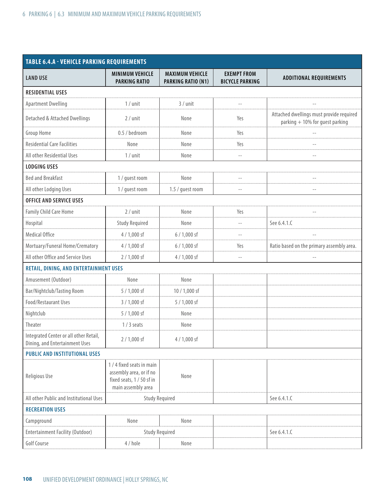| <b>TABLE 6.4.A - VEHICLE PARKING REQUIREMENTS</b>                        |                                                                                                         |                                              |                                              |                                                                             |  |
|--------------------------------------------------------------------------|---------------------------------------------------------------------------------------------------------|----------------------------------------------|----------------------------------------------|-----------------------------------------------------------------------------|--|
| <b>LAND USE</b>                                                          | <b>MINIMUM VEHICLE</b><br><b>PARKING RATIO</b>                                                          | <b>MAXIMUM VEHICLE</b><br>PARKING RATIO (N1) | <b>EXEMPT FROM</b><br><b>BICYCLE PARKING</b> | <b>ADDITIONAL REQUIREMENTS</b>                                              |  |
| <b>RESIDENTIAL USES</b>                                                  |                                                                                                         |                                              |                                              |                                                                             |  |
| <b>Apartment Dwelling</b>                                                | $1/$ unit                                                                                               | $3 /$ unit                                   |                                              |                                                                             |  |
| Detached & Attached Dwellings                                            | $2 /$ unit                                                                                              | None                                         | Yes                                          | Attached dwellings must provide required<br>parking + 10% for guest parking |  |
| Group Home                                                               | 0.5 / bedroom                                                                                           | None                                         | Yes                                          |                                                                             |  |
| <b>Residential Care Facilities</b>                                       | None                                                                                                    | None                                         | Yes                                          |                                                                             |  |
| All other Residential Uses                                               | $1/$ unit                                                                                               | None                                         |                                              |                                                                             |  |
| <b>LODGING USES</b>                                                      |                                                                                                         |                                              |                                              |                                                                             |  |
| <b>Bed and Breakfast</b>                                                 | 1 / guest room                                                                                          | None                                         |                                              |                                                                             |  |
| All other Lodging Uses                                                   | 1 / quest room                                                                                          | 1.5 / guest room                             |                                              |                                                                             |  |
| <b>OFFICE AND SERVICE USES</b>                                           |                                                                                                         |                                              |                                              |                                                                             |  |
| <b>Family Child Care Home</b>                                            | $2 /$ unit                                                                                              | None                                         | Yes                                          |                                                                             |  |
| Hospital                                                                 | <b>Study Required</b>                                                                                   | None                                         |                                              | See 6.4.1.0                                                                 |  |
| <b>Medical Office</b>                                                    | $4/1,000$ sf                                                                                            | $6/1,000$ sf                                 |                                              |                                                                             |  |
| Mortuary/Funeral Home/Crematory                                          | $4/1,000$ sf                                                                                            | $6/1,000$ sf                                 | Yes                                          | Ratio based on the primary assembly area.                                   |  |
| All other Office and Service Uses                                        | $2/1,000$ sf                                                                                            | $4/1,000$ sf                                 |                                              |                                                                             |  |
| RETAIL, DINING, AND ENTERTAINMENT USES                                   |                                                                                                         |                                              |                                              |                                                                             |  |
| Amusement (Outdoor)                                                      | None                                                                                                    | None                                         |                                              |                                                                             |  |
| Bar/Nightclub/Tasting Room                                               | 5 / 1,000 sf                                                                                            | 10 / 1,000 sf                                |                                              |                                                                             |  |
| Food/Restaurant Uses                                                     | $3/1,000$ sf                                                                                            | $5/1,000$ sf                                 |                                              |                                                                             |  |
| Nightclub                                                                | 5 / 1,000 sf                                                                                            | None                                         |                                              |                                                                             |  |
| Theater                                                                  | $1/3$ seats                                                                                             | None                                         |                                              |                                                                             |  |
| Integrated Center or all other Retail,<br>Dining, and Entertainment Uses | $2/1,000$ sf                                                                                            | $4/1,000$ sf                                 |                                              |                                                                             |  |
| <b>PUBLIC AND INSTITUTIONAL USES</b>                                     |                                                                                                         |                                              |                                              |                                                                             |  |
| Religious Use                                                            | 1 / 4 fixed seats in main<br>assembly area, or if no<br>fixed seats, 1 / 50 sf in<br>main assembly area | None                                         |                                              |                                                                             |  |
| All other Public and Institutional Uses                                  | <b>Study Required</b>                                                                                   |                                              |                                              | See 6.4.1.C                                                                 |  |
| <b>RECREATION USES</b>                                                   |                                                                                                         |                                              |                                              |                                                                             |  |
| Campground                                                               | None                                                                                                    | None                                         |                                              |                                                                             |  |
| Entertainment Facility (Outdoor)                                         | <b>Study Required</b>                                                                                   |                                              |                                              | See 6.4.1.0                                                                 |  |
| <b>Golf Course</b>                                                       | 4 / hole                                                                                                | None                                         |                                              |                                                                             |  |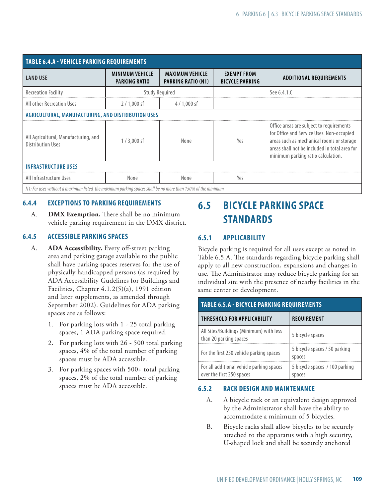<span id="page-6-0"></span>

| <b>TABLE 6.4.A - VEHICLE PARKING REQUIREMENTS</b>                                                           |                                         |                                                     |                                              |                                                                                                                                                                                                                           |  |
|-------------------------------------------------------------------------------------------------------------|-----------------------------------------|-----------------------------------------------------|----------------------------------------------|---------------------------------------------------------------------------------------------------------------------------------------------------------------------------------------------------------------------------|--|
| <b>LAND USE</b>                                                                                             | <b>MINIMUM VEHICLE</b><br>PARKING RATIO | <b>MAXIMUM VEHICLE</b><br><b>PARKING RATIO (N1)</b> | <b>EXEMPT FROM</b><br><b>BICYCLE PARKING</b> | <b>ADDITIONAL REQUIREMENTS</b>                                                                                                                                                                                            |  |
| <b>Recreation Facility</b>                                                                                  | <b>Study Required</b>                   |                                                     |                                              | See 6.4.1.C                                                                                                                                                                                                               |  |
| All other Recreation Uses                                                                                   | $2/1,000$ sf                            | $4/1,000$ sf                                        |                                              |                                                                                                                                                                                                                           |  |
| AGRICULTURAL, MANUFACTURING, AND DISTRIBUTION USES                                                          |                                         |                                                     |                                              |                                                                                                                                                                                                                           |  |
| All Agricultural, Manufacturing, and<br><b>Distribution Uses</b>                                            | $1/3,000$ sf                            | None                                                | Yes                                          | Office areas are subject to requirements<br>for Office and Service Uses. Non-occupied<br>areas such as mechanical rooms or storage<br>areas shall not be included in total area for<br>minimum parking ratio calculation. |  |
| <b>INFRASTRUCTURE USES</b>                                                                                  |                                         |                                                     |                                              |                                                                                                                                                                                                                           |  |
| All Infrastructure Uses<br>None                                                                             |                                         | None                                                | Yes                                          |                                                                                                                                                                                                                           |  |
| N1: For uses without a maximum listed, the maximum parking spaces shall be no more than 150% of the minimum |                                         |                                                     |                                              |                                                                                                                                                                                                                           |  |

## **6.4.4 EXCEPTIONS TO PARKING REQUIREMENTS**

A. **DMX Exemption.** There shall be no minimum vehicle parking requirement in the DMX district.

### **6.4.5 ACCESSIBLE PARKING SPACES**

- A. **ADA Accessibility.** Every off-street parking area and parking garage available to the public shall have parking spaces reserves for the use of physically handicapped persons (as required by ADA Accessibility Gudelines for Buildings and Facilities, Chapter 4.1.2(5)(a), 1991 edition and later supplements, as amended through September 2002). Guidelines for ADA parking spaces are as follows:
	- 1. For parking lots with 1 25 total parking spaces, 1 ADA parking space required.
	- 2. For parking lots with 26 500 total parking spaces, 4% of the total number of parking spaces must be ADA accessible.
	- 3. For parking spaces with 500+ total parking spaces, 2% of the total number of parking spaces must be ADA accessible.

# **6.5 BIC YCLE PARKING SPACE STANDARDS**

# **6.5.1 APPLICABILITY**

Bicycle parking is required for all uses except as noted in Table 6.5.A. The standards regarding bicycle parking shall apply to all new construction, expansions and changes in use. The Administrator may reduce bicycle parking for an individual site with the presence of nearby facilities in the same center or development.

#### **TABLE 6.5.A - BIC YCLE PARKING REQUIREMENTS**

| <b>THRESHOLD FOR APPLICABILITY</b>                                     | REQUIREMENT                              |
|------------------------------------------------------------------------|------------------------------------------|
| All Sites/Buildings (Minimum) with less<br>than 20 parking spaces      | 5 bicycle spaces                         |
| For the first 250 vehicle parking spaces                               | 5 bicycle spaces / 50 parking<br>spaces  |
| For all additional vehicle parking spaces<br>over the first 250 spaces | 5 bicycle spaces / 100 parking<br>spaces |

#### **6.5.2 RACK DESIGN AND MAINTENANCE**

- A. A bicycle rack or an equivalent design approved by the Administrator shall have the ability to accommodate a minimum of 5 bicycles.
- B. Bicycle racks shall allow bicycles to be securely attached to the apparatus with a high security, U-shaped lock and shall be securely anchored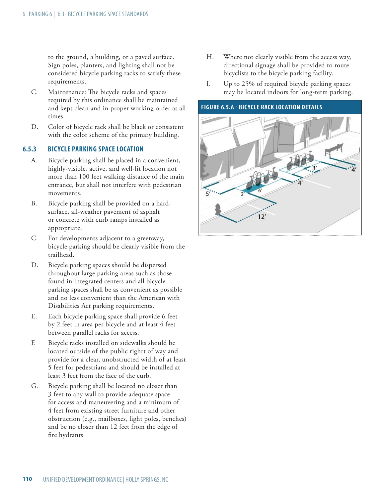<span id="page-7-0"></span>to the ground, a building, or a paved surface. Sign poles, planters, and lighting shall not be considered bicycle parking racks to satisfy these requirements.

- C. Maintenance: The bicycle racks and spaces required by this ordinance shall be maintained and kept clean and in proper working order at all times.
- D. Color of bicycle rack shall be black or consistent with the color scheme of the primary building.

#### **6.5.3 BIC YCLE PARKING SPACE LOCATION**

- A. Bicycle parking shall be placed in a convenient, highly-visible, active, and well-lit location not more than 100 feet walking distance of the main entrance, but shall not interfere with pedestrian movements.
- B. Bicycle parking shall be provided on a hardsurface, all-weather pavement of asphalt or concrete with curb ramps installed as appropriate.
- C. For developments adjacent to a greenway, bicycle parking should be clearly visible from the trailhead.
- D. Bicycle parking spaces should be dispersed throughout large parking areas such as those found in integrated centers and all bicycle parking spaces shall be as convenient as possible and no less convenient than the American with Disabilities Act parking requirements.
- E. Each bicycle parking space shall provide 6 feet by 2 feet in area per bicycle and at least 4 feet between parallel racks for access.
- F. Bicycle racks installed on sidewalks should be located outside of the public righrt of way and provide for a clear, unobstructed width of at least 5 feet for pedestrians and should be installed at least 3 feet from the face of the curb.
- G. Bicycle parking shall be located no closer than 3 feet to any wall to provide adequate space for access and maneuvering and a minimum of 4 feet from existing street furniture and other obstruction (e.g., mailboxes, light poles, benches) and be no closer than 12 feet from the edge of fire hydrants.
- H. Where not clearly visible from the access way, directional signage shall be provided to route bicyclists to the bicycle parking facility.
- I. Up to 25% of required bicycle parking spaces may be located indoors for long-term parking.

#### **FIGURE 6.5.A - BIC YCLE RACK LOCATION DETAILS**

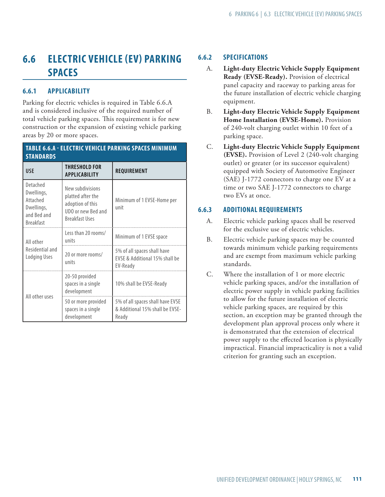# <span id="page-8-0"></span>**6.6 ELECTRIC VEHICLE (EV) PARKING SPACES**

# **6.6.1 APPLICABILITY**

Parking for electric vehicles is required in Table 6.6.A and is considered inclusive of the required number of total vehicle parking spaces. This requirement is for new construction or the expansion of existing vehicle parking areas by 20 or more spaces.

| TABLE 6.6.A - ELECTRIC VEHICLE PARKING SPACES MINIMUM<br><b>STANDARDS</b>           |                                                                                                          |                                                                              |  |  |
|-------------------------------------------------------------------------------------|----------------------------------------------------------------------------------------------------------|------------------------------------------------------------------------------|--|--|
| <b>USE</b>                                                                          | THRESHOLD FOR<br><b>APPLICABILITY</b>                                                                    | REQUIREMENT                                                                  |  |  |
| Detached<br>Dwellings,<br>Attached<br>Dwellings,<br>and Bed and<br><b>Breakfast</b> | New subdivisions<br>platted after the<br>adoption of this<br>UDO or new Bed and<br><b>Breakfast Uses</b> | Minimum of 1 EVSE-Home per<br>unit                                           |  |  |
| All other                                                                           | Less than 20 rooms/<br>units                                                                             | Minimum of 1 EVSE space                                                      |  |  |
| Residential and<br>Lodging Uses                                                     | 20 or more rooms/<br>units                                                                               | 5% of all spaces shall have<br>EVSE & Additional 15% shall be<br>EV-Ready    |  |  |
| All other uses                                                                      | 20-50 provided<br>spaces in a single<br>development                                                      | 10% shall be EVSE-Ready                                                      |  |  |
|                                                                                     | 50 or more provided<br>spaces in a single<br>development                                                 | 5% of all spaces shall have EVSE<br>& Additional 15% shall be EVSE-<br>Ready |  |  |

## **6.6.2 SPECIFICATIONS**

- A. **Light-duty Electric Vehicle Supply Equipment Ready (EVSE-Ready).** Provision of electrical panel capacity and raceway to parking areas for the future installation of electric vehicle charging equipment.
- B. **Light-duty Electric Vehicle Supply Equipment Home Installation (EVSE-Home).** Provision of 240-volt charging outlet within 10 feet of a parking space.
- C. **Light-duty Electric Vehicle Supply Equipment (EVSE).** Provision of Level 2 (240-volt charging outlet) or greater (or its successor equivalent) equipped with Society of Automotive Engineer (SAE) J-1772 connectors to charge one EV at a time or two SAE J-1772 connectors to charge two EVs at once.

## **6.6.3 ADDITIONAL REQUIREMENTS**

- A. Electric vehicle parking spaces shall be reserved for the exclusive use of electric vehicles.
- B. Electric vehicle parking spaces may be counted towards minimum vehicle parking requirements and are exempt from maximum vehicle parking standards.
- C. Where the installation of 1 or more electric vehicle parking spaces, and/or the installation of electric power supply in vehicle parking facilities to allow for the future installation of electric vehicle parking spaces, are required by this section, an exception may be granted through the development plan approval process only where it is demonstrated that the extension of electrical power supply to the effected location is physically impractical. Financial impracticality is not a valid criterion for granting such an exception.